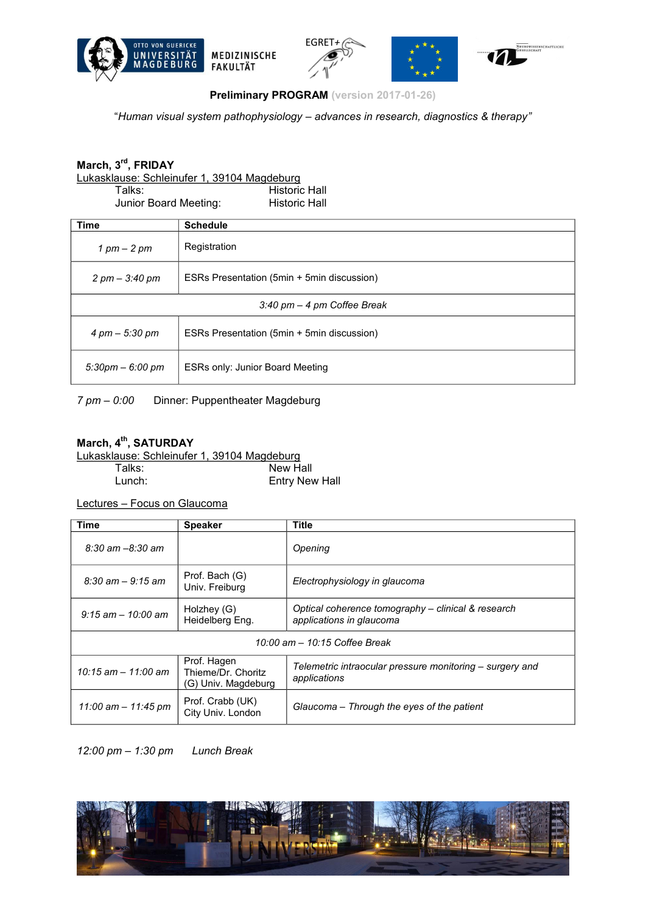







**Preliminary PROGRAM (version 2017-01-26)**

"*Human visual system pathophysiology* – *advances in research, diagnostics & therapy*"

## **March, 3rd, FRIDAY**

Lukasklause: Schleinufer 1, 39104 Magdeburg

Talks: Historic Hall<br>
Junior Board Meeting: Historic Hall Junior Board Meeting:

| <b>Time</b>                                   | <b>Schedule</b>                            |  |
|-----------------------------------------------|--------------------------------------------|--|
| $1$ pm $-$ 2 pm                               | Registration                               |  |
| $2 \, \text{pm} - 3.40 \, \text{pm}$          | ESRs Presentation (5min + 5min discussion) |  |
| $3:40 \text{ pm} - 4 \text{ pm}$ Coffee Break |                                            |  |
| 4 pm – 5:30 pm                                | ESRs Presentation (5min + 5min discussion) |  |
| $5:30 \text{pm} - 6:00 \text{pm}$             | <b>ESRs only: Junior Board Meeting</b>     |  |

*7 pm* – *0:00* Dinner: Puppentheater Magdeburg

## March, 4<sup>th</sup>, SATURDAY

Lukasklause: Schleinufer 1, 39104 Magdeburg

| Talks: | New Hall       |
|--------|----------------|
| Lunch: | Entry New Hall |

Lectures – Focus on Glaucoma

| <b>Time</b>                   | <b>Speaker</b>                                           | <b>Title</b>                                                                   |  |  |
|-------------------------------|----------------------------------------------------------|--------------------------------------------------------------------------------|--|--|
| $8:30$ am $-8:30$ am          |                                                          | Opening                                                                        |  |  |
| $8:30$ am $-9:15$ am          | Prof. Bach (G)<br>Univ. Freiburg                         | Electrophysiology in glaucoma                                                  |  |  |
| $9:15$ am $-10:00$ am         | Holzhey (G)<br>Heidelberg Eng.                           | Optical coherence tomography - clinical & research<br>applications in glaucoma |  |  |
| 10:00 am - 10:15 Coffee Break |                                                          |                                                                                |  |  |
| $10:15$ am $- 11:00$ am       | Prof. Hagen<br>Thieme/Dr. Choritz<br>(G) Univ. Magdeburg | Telemetric intraocular pressure monitoring – surgery and<br>applications       |  |  |
| 11:00 am - 11:45 pm           | Prof. Crabb (UK)<br>City Univ. London                    | Glaucoma – Through the eyes of the patient                                     |  |  |

*12:00 pm* – *1:30 pm Lunch Break*